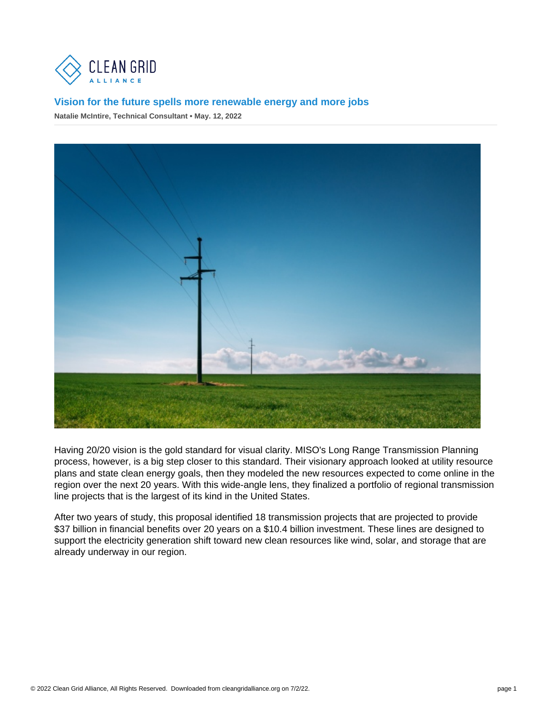Having 20/20 vision is the gold standard for visual clarity. MISO's Long Range Transmission Planning process, however, is a big step closer to this standard. Their visionary approach looked at utility resource plans and state clean energy goals, then they modeled the new resources expected to come online in the region over the next 20 years. With this wide-angle lens, they finalized a portfolio of regional transmission line projects that is the largest of its kind in the United States.

After two years of study, this proposal identified 18 transmission projects that are projected to provide \$37 billion in financial benefits over 20 years on a \$10.4 billion investment. These lines are designed to support the electricity generation shift toward new clean resources like wind, solar, and storage that are already underway in our region.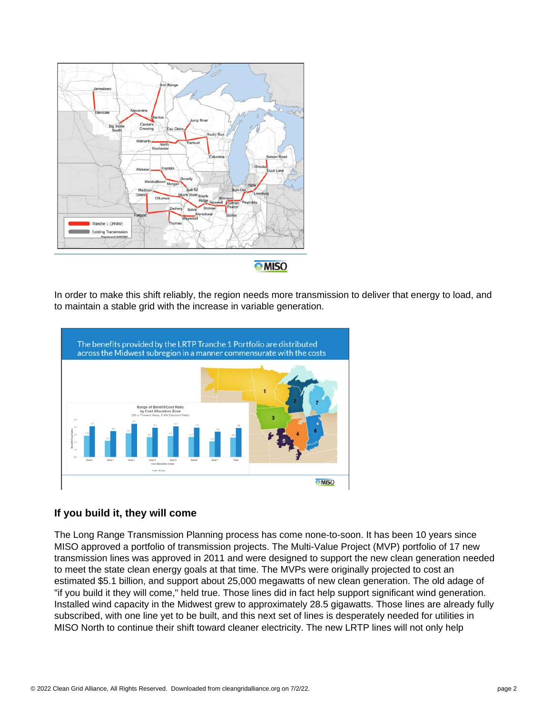

**MISO** 

In order to make this shift reliably, the region needs more transmission to deliver that energy to load, and to maintain a stable grid with the increase in variable generation.



## **If you build it, they will come**

The Long Range Transmission Planning process has come none-to-soon. It has been 10 years since MISO approved a portfolio of transmission projects. The Multi-Value Project (MVP) portfolio of 17 new transmission lines was approved in 2011 and were designed to support the new clean generation needed to meet the state clean energy goals at that time. The MVPs were originally projected to cost an estimated \$5.1 billion, and support about 25,000 megawatts of new clean generation. The old adage of "if you build it they will come," held true. Those lines did in fact help support significant wind generation. Installed wind capacity in the Midwest grew to approximately 28.5 gigawatts. Those lines are already fully subscribed, with one line yet to be built, and this next set of lines is desperately needed for utilities in MISO North to continue their shift toward cleaner electricity. The new LRTP lines will not only help